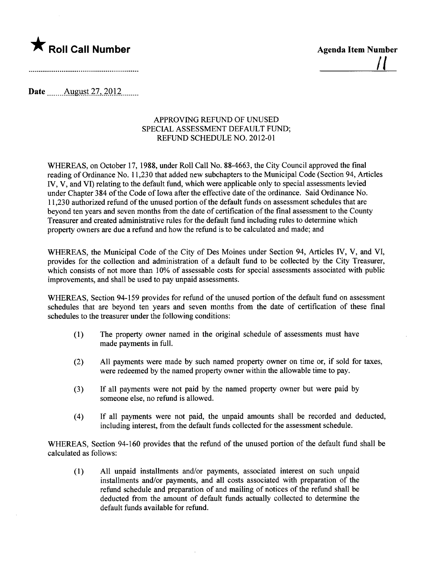

<u>| |</u>

Date  $\qquad$  August 27, 2012

## APPROVING REFUND OF UNUSED SPECIAL ASSESSMENT DEFAULT FUND; REFUND SCHEDULE NO. 2012-01

WHREAS, on October 17, 1988, under Roll Call No. 88-4663, the City Council approved the final reading of Ordinance No. 11,230 that added new subchapters to the Municipal Code (Section 94, Aricles IV, V, and VI) relating to the default fund, which were applicable only to special assessments levied under Chapter 384 of the Code of Iowa after the effective date of the ordinance. Said Ordinance No. 11,230 authorized refund of the unused portion of the default funds on assessment schedules that are beyond ten years and seven months from the date of certification of the final assessment to the County Treasurer and created administrative rules for the default fund including rules to determine which property owners are due a refund and how the refund is to be calculated and made; and

WHREAS, the Municipal Code of the City of Des Moines under Section 94, Articles IV, V, and VI, provides for the collection and administration of a default fund to be collected by the City Treasurer, which consists of not more than 10% of assessable costs for special assessments associated with public improvements, and shall be used to pay unpaid assessments.

WHEREAS, Section 94-159 provides for refund of the unused portion of the default fund on assessment schedules that are beyond ten years and seven months from the date of certification of these final schedules to the treasurer under the following conditions:

- (1) The property owner named in the original schedule of assessments must have made payments in full.
- (2) All payments were made by such named property owner on time or, if sold for taxes, were redeemed by the named property owner within the allowable time to pay.
- (3) If all payments were not paid by the named property owner but were paid by someone else, no refund is allowed.
- (4) If all payments were not paid, the unpaid amounts shall be recorded and deducted, including interest, from the default funds collected for the assessment schedule.

WHREAS, Section 94-160 provides that the refund of the unused portion of the default fund shall be calculated as follows:

(1) All unpaid installments and/or payments, associated interest on such unpaid installments and/or payments, and all costs associated with preparation of the refund schedule and preparation of and mailng of notices of the refund shall be deducted from the amount of default funds actually collected to determine the default funds available for refund.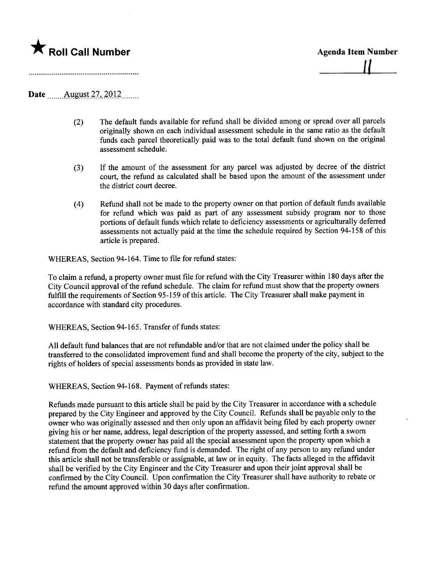

## Date August 27, 2012

- (2) The default funds available for refund shall be divided among or spread over all parcels originally shown on each individual assessment schedule in the same ratio as the default funds each parcel theoretically paid was to the total default fund shown on the original assessment schedule.
- (3) If the amount of the assessment for any parcel was adjusted by decree of the district court, the refund as calculated shall be based upon the amount of the assessment under the district court decree.
- (4) Refund shall not be made to the property owner on that portion of default funds available for refund which was paid as part of any assessment subsidy program nor to those portions of default funds which relate to deficiency assessments or agriculturally deferred assessments not actually paid at the time the schedule required by Section 94-158 of this article is prepared.

WHEREAS, Section 94-164. Time to file for refund states:

To claim a refund, a property owner must file for refund with the City Treasurer within 180 days after the City Council approval of the refund schedule. The claim for refund must show that the property owners fulfill the requirements of Section 95-159 of this aricle. The City Treasurer shall make payment in accordance with standard city procedures.

WHREAS, Section 94-165. Transfer of funds states:

All default fund balances that are not refundable and/or that are not claimed under the policy shall be transferred to the consolidated improvement fund and shall become the property of the city, subject to the rights of holders of special assessments bonds as provided in state law.

WHREAS, Section 94-168. Payment of refunds states:

Refunds made pursuant to this aricle shall be paid by the City Treasurer in accordance with a schedule prepared by the City Engineer and approved by the City Council. Refunds shall be payable only to the owner who was originally assessed and then only upon an affidavit being filed by each property owner giving his or her name, address, legal description of the property assessed, and setting forth a sworn statement that the property owner has paid all the special assessment upon the property upon which a refund from the default and deficiency fund is demanded. The right of any person to any refund under this article shall not be transferable or assignable, at law or in equity. The facts alleged in the affdavit shall be verified by the City Engineer and the City Treasurer and upon their joint approval shall be confirmed by the City Council. Upon confirmation the City Treasurer shall have authority to rebate or refund the amount approved within 30 days after confirmation.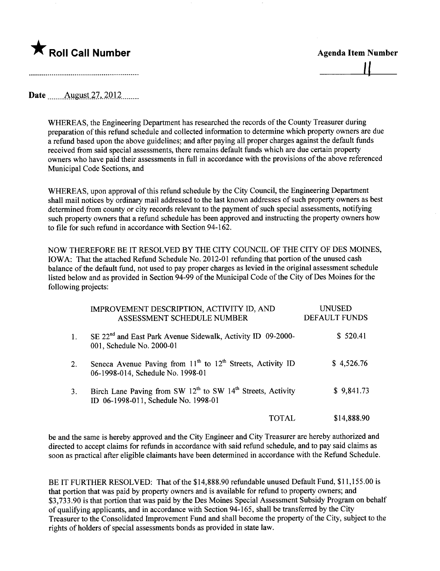

Date  $\qquad$  August 27, 2012

WHEREAS, the Engineering Department has researched the records of the County Treasurer during preparation of this refund schedule and collected information to determine which property owners are due a refund based upon the above guidelines; and after paying all proper charges against the default funds received from said special assessments, there remains default funds which are due certain propert owners who have paid their assessments in full in accordance with the provisions of the above referenced Municipal Code Sections, and

WHREAS, upon approval of this refund schedule by the City Council, the Engineering Department shall mail notices by ordinary mail addressed to the last known addresses of such property owners as best determined from county or city records relevant to the payment of such special assessments, notifying such property owners that a refund schedule has been approved and instructing the property owners how to file for such refund in accordance with Section 94-162.

NOW THEREFORE BE IT RESOLVED BY THE CITY COUNCIL OF THE CITY OF DES MOINES, IOWA: That the attached Refund Schedule No. 2012-01 refunding that portion of the unused cash balance of the default fund, not used to pay proper charges as levied in the original assessment schedule listed below and as provided in Section 94-99 of the Municipal Code of the City of Des Moines for the following projects:

|         | IMPROVEMENT DESCRIPTION, ACTIVITY ID, AND<br>ASSESSMENT SCHEDULE NUMBER                                                     | <b>UNUSED</b><br><b>DEFAULT FUNDS</b> |
|---------|-----------------------------------------------------------------------------------------------------------------------------|---------------------------------------|
| $1_{-}$ | SE 22 <sup>nd</sup> and East Park Avenue Sidewalk, Activity ID 09-2000-<br>001, Schedule No. 2000-01                        | \$520.41                              |
| 2.      | Seneca Avenue Paving from $11th$ to $12th$ Streets, Activity ID<br>06-1998-014, Schedule No. 1998-01                        | \$4,526.76                            |
| 3.      | Birch Lane Paving from SW 12 <sup>th</sup> to SW 14 <sup>th</sup> Streets, Activity<br>ID 06-1998-011, Schedule No. 1998-01 | \$9,841.73                            |
|         | TOTAL                                                                                                                       | \$14,888.90                           |

be and the same is hereby approved and the City Engineer and City Treasurer are hereby authorized and directed to accept claims for refunds in accordance with said refund schedule, and to pay said claims as soon as practical after eligible claimants have been determined in accordance with the Refund Schedule.

BE IT FURTHER RESOLVED: That of the \$14,888.90 refundable unused Default Fund, \$11,155.00 is that portion that was paid by property owners and is available for refund to property owners; and \$3,733.90 is that portion that was paid by the Des Moines Special Assessment Subsidy Program on behalf of qualifying applicants, and in accordance with Section 94-165, shall be transferred by the City Treasurer to the Consolidated Improvement Fund and shall become the property of the City, subject to the rights of holders of special assessments bonds as provided in state law.